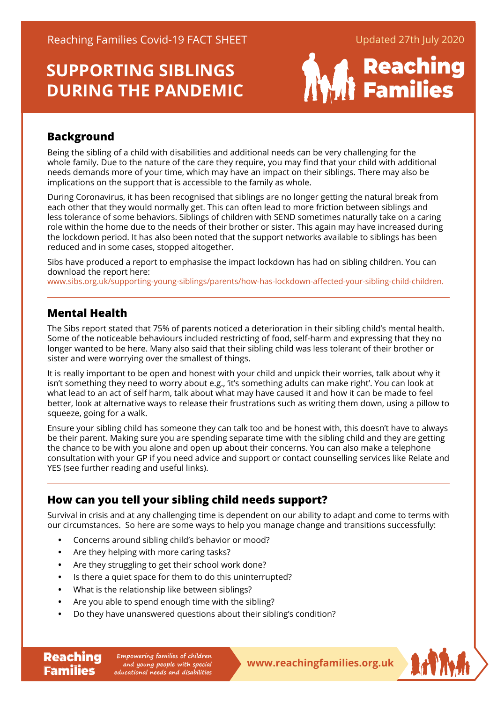# **SUPPORTING SIBLINGS DURING THE PANDEMIC**



### **Background**

Being the sibling of a child with disabilities and additional needs can be very challenging for the whole family. Due to the nature of the care they require, you may find that your child with additional needs demands more of your time, which may have an impact on their siblings. There may also be implications on the support that is accessible to the family as whole.

During Coronavirus, it has been recognised that siblings are no longer getting the natural break from each other that they would normally get. This can often lead to more friction between siblings and less tolerance of some behaviors. Siblings of children with SEND sometimes naturally take on a caring role within the home due to the needs of their brother or sister. This again may have increased during the lockdown period. It has also been noted that the support networks available to siblings has been reduced and in some cases, stopped altogether.

Sibs have produced a report to emphasise the impact lockdown has had on sibling children. You can download the report here:

[www.sibs.org.uk/supporting-young-siblings/parents/how-has-lockdown-affected-your-sibling-child-childre](https://www.sibs.org.uk/supporting-young-siblings/parents/how-has-lockdown-affected-your-sibling-child-children)n.

### **Mental Health**

**Families** 

The Sibs report stated that 75% of parents noticed a deterioration in their sibling child's mental health. Some of the noticeable behaviours included restricting of food, self-harm and expressing that they no longer wanted to be here. Many also said that their sibling child was less tolerant of their brother or sister and were worrying over the smallest of things.

It is really important to be open and honest with your child and unpick their worries, talk about why it isn't something they need to worry about e.g., 'it's something adults can make right'. You can look at what lead to an act of self harm, talk about what may have caused it and how it can be made to feel better, look at alternative ways to release their frustrations such as writing them down, using a pillow to squeeze, going for a walk.

Ensure your sibling child has someone they can talk too and be honest with, this doesn't have to always be their parent. Making sure you are spending separate time with the sibling child and they are getting the chance to be with you alone and open up about their concerns. You can also make a telephone consultation with your GP if you need advice and support or contact counselling services like Relate and YES (see further reading and useful links).

### **How can you tell your sibling child needs support?**

Survival in crisis and at any challenging time is dependent on our ability to adapt and come to terms with our circumstances. So here are some ways to help you manage change and transitions successfully:

- **•** Concerns around sibling child's behavior or mood?
- **•** Are they helping with more caring tasks?
- **•** Are they struggling to get their school work done?
- **•** Is there a quiet space for them to do this uninterrupted?
- **•** What is the relationship like between siblings?
- **•** Are you able to spend enough time with the sibling?
- **•** Do they have unanswered questions about their sibling's condition?

**Reaching** Empowering families of children<br> **Reaching Empone and young people with special**<br> **WWW.reachingfamilies.org.uk Empowering families of children and young people with special educational needs and disabilities**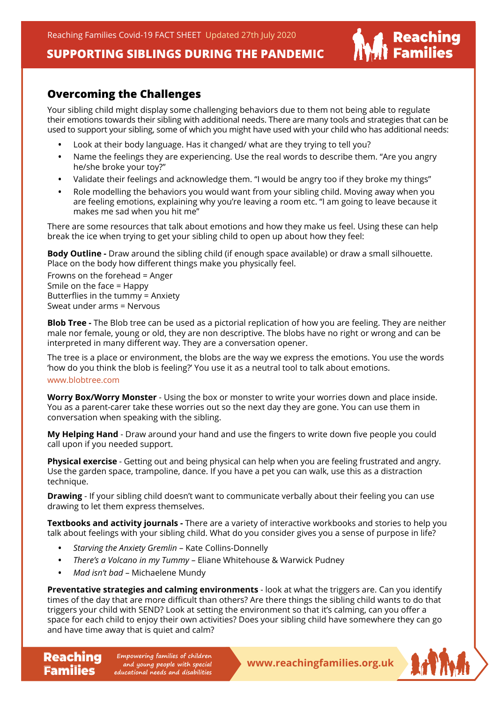Reaching Families Covid-19 FACT SHEET Updated 27th July 2020

### **SUPPORTING SIBLINGS DURING THE PANDEMIC**

### **Overcoming the Challenges**

Your sibling child might display some challenging behaviors due to them not being able to regulate their emotions towards their sibling with additional needs. There are many tools and strategies that can be used to support your sibling, some of which you might have used with your child who has additional needs:

- **•** Look at their body language. Has it changed/ what are they trying to tell you?
- **•** Name the feelings they are experiencing. Use the real words to describe them. "Are you angry he/she broke your toy?"
- **•** Validate their feelings and acknowledge them. "I would be angry too if they broke my things"
- **•** Role modelling the behaviors you would want from your sibling child. Moving away when you are feeling emotions, explaining why you're leaving a room etc. "I am going to leave because it makes me sad when you hit me"

There are some resources that talk about emotions and how they make us feel. Using these can help break the ice when trying to get your sibling child to open up about how they feel:

**Body Outline -** Draw around the sibling child (if enough space available) or draw a small silhouette. Place on the body how different things make you physically feel.

Frowns on the forehead = Anger Smile on the face = Happy Butterflies in the tummy = Anxiety Sweat under arms = Nervous

**Blob Tree -** The Blob tree can be used as a pictorial replication of how you are feeling. They are neither male nor female, young or old, they are non descriptive. The blobs have no right or wrong and can be interpreted in many different way. They are a conversation opener.

The tree is a place or environment, the blobs are the way we express the emotions. You use the words 'how do you think the blob is feeling?' You use it as a neutral tool to talk about emotions.

#### [www.blobtree.com](https://www.blobtree.com/)

**Families** 

**Worry Box/Worry Monster** - Using the box or monster to write your worries down and place inside. You as a parent-carer take these worries out so the next day they are gone. You can use them in conversation when speaking with the sibling.

**My Helping Hand** - Draw around your hand and use the fingers to write down five people you could call upon if you needed support.

**Physical exercise** - Getting out and being physical can help when you are feeling frustrated and angry. Use the garden space, trampoline, dance. If you have a pet you can walk, use this as a distraction technique.

**Drawing** - If your sibling child doesn't want to communicate verbally about their feeling you can use drawing to let them express themselves.

**Textbooks and activity journals -** There are a variety of interactive workbooks and stories to help you talk about feelings with your sibling child. What do you consider gives you a sense of purpose in life?

- **•** *Starving the Anxiety Gremlin* Kate Collins-Donnelly
- **•** *There's a Volcano in my Tummy* Eliane Whitehouse & Warwick Pudney
- **•** *Mad isn't bad* Michaelene Mundy

**Preventative strategies and calming environments** - look at what the triggers are. Can you identify times of the day that are more difficult than others? Are there things the sibling child wants to do that triggers your child with SEND? Look at setting the environment so that it's calming, can you offer a space for each child to enjoy their own activities? Does your sibling child have somewhere they can go and have time away that is quiet and calm?

**Reaching** Empowering families of children<br> **Reachingfamilies.org.uk Empowering families of children and young people with special educational needs and disabilities**



| Reaching<br>| Families